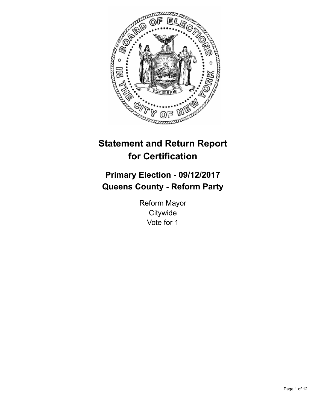

# **Statement and Return Report for Certification**

## **Primary Election - 09/12/2017 Queens County - Reform Party**

Reform Mayor **Citywide** Vote for 1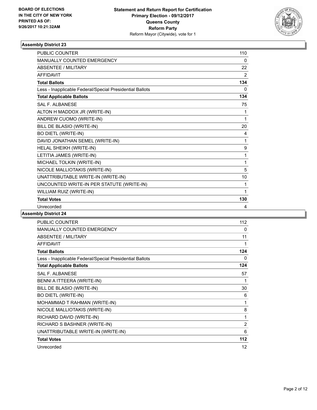

| <b>PUBLIC COUNTER</b>                                    | 110          |
|----------------------------------------------------------|--------------|
| MANUALLY COUNTED EMERGENCY                               | 0            |
| ABSENTEE / MILITARY                                      | 22           |
| <b>AFFIDAVIT</b>                                         | 2            |
| <b>Total Ballots</b>                                     | 134          |
| Less - Inapplicable Federal/Special Presidential Ballots | $\Omega$     |
| <b>Total Applicable Ballots</b>                          | 134          |
| <b>SAL F. ALBANESE</b>                                   | 75           |
| ALTON H MADDOX JR (WRITE-IN)                             | 1            |
| ANDREW CUOMO (WRITE-IN)                                  | 1            |
| BILL DE BLASIO (WRITE-IN)                                | 20           |
| <b>BO DIETL (WRITE-IN)</b>                               | 4            |
| DAVID JONATHAN SEMEL (WRITE-IN)                          | 1            |
| HELAL SHEIKH (WRITE-IN)                                  | 9            |
| LETITIA JAMES (WRITE-IN)                                 | 1            |
| MICHAEL TOLKIN (WRITE-IN)                                | 1            |
| NICOLE MALLIOTAKIS (WRITE-IN)                            | 5            |
| UNATTRIBUTABLE WRITE-IN (WRITE-IN)                       | 10           |
| UNCOUNTED WRITE-IN PER STATUTE (WRITE-IN)                | 1            |
| WILLIAM RUIZ (WRITE-IN)                                  | $\mathbf{1}$ |
| <b>Total Votes</b>                                       | 130          |
| Unrecorded                                               | 4            |

| <b>PUBLIC COUNTER</b>                                    | 112 |
|----------------------------------------------------------|-----|
| <b>MANUALLY COUNTED EMERGENCY</b>                        | 0   |
| ABSENTEE / MILITARY                                      | 11  |
| <b>AFFIDAVIT</b>                                         | 1   |
| <b>Total Ballots</b>                                     | 124 |
| Less - Inapplicable Federal/Special Presidential Ballots | 0   |
| <b>Total Applicable Ballots</b>                          | 124 |
| SAL F. ALBANESE                                          | 57  |
| BENNI A ITTEERA (WRITE-IN)                               | 1   |
| BILL DE BLASIO (WRITE-IN)                                | 30  |
| <b>BO DIETL (WRITE-IN)</b>                               | 6   |
| MOHAMMAD T RAHMAN (WRITE-IN)                             | 1   |
| NICOLE MALLIOTAKIS (WRITE-IN)                            | 8   |
| RICHARD DAVID (WRITE-IN)                                 | 1   |
| RICHARD S BASHNER (WRITE-IN)                             | 2   |
| UNATTRIBUTABLE WRITE-IN (WRITE-IN)                       | 6   |
| <b>Total Votes</b>                                       | 112 |
| Unrecorded                                               | 12  |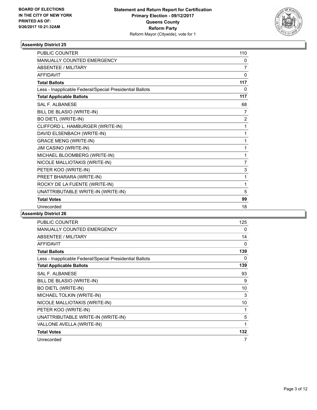

| <b>PUBLIC COUNTER</b>                                    | 110            |
|----------------------------------------------------------|----------------|
| <b>MANUALLY COUNTED EMERGENCY</b>                        | 0              |
| <b>ABSENTEE / MILITARY</b>                               | 7              |
| <b>AFFIDAVIT</b>                                         | 0              |
| <b>Total Ballots</b>                                     | 117            |
| Less - Inapplicable Federal/Special Presidential Ballots | 0              |
| <b>Total Applicable Ballots</b>                          | 117            |
| <b>SAL F. ALBANESE</b>                                   | 68             |
| BILL DE BLASIO (WRITE-IN)                                | $\overline{7}$ |
| <b>BO DIETL (WRITE-IN)</b>                               | $\overline{2}$ |
| CLIFFORD L. HAMBURGER (WRITE-IN)                         | 1              |
| DAVID ELSENBACH (WRITE-IN)                               | 1              |
| <b>GRACE MENG (WRITE-IN)</b>                             | 1              |
| JIM CASINO (WRITE-IN)                                    | 1              |
| MICHAEL BLOOMBERG (WRITE-IN)                             | 1              |
| NICOLE MALLIOTAKIS (WRITE-IN)                            | $\overline{7}$ |
| PETER KOO (WRITE-IN)                                     | 3              |
| PREET BHARARA (WRITE-IN)                                 | 1              |
| ROCKY DE LA FUENTE (WRITE-IN)                            | 1              |
| UNATTRIBUTABLE WRITE-IN (WRITE-IN)                       | 5              |
| <b>Total Votes</b>                                       | 99             |
| Unrecorded                                               | 18             |
|                                                          |                |

| <b>PUBLIC COUNTER</b>                                    | 125 |
|----------------------------------------------------------|-----|
| MANUALLY COUNTED EMERGENCY                               | 0   |
| ABSENTEE / MILITARY                                      | 14  |
| <b>AFFIDAVIT</b>                                         | 0   |
| <b>Total Ballots</b>                                     | 139 |
| Less - Inapplicable Federal/Special Presidential Ballots | 0   |
| <b>Total Applicable Ballots</b>                          | 139 |
| <b>SAL F. ALBANESE</b>                                   | 93  |
| BILL DE BLASIO (WRITE-IN)                                | 9   |
| <b>BO DIETL (WRITE-IN)</b>                               | 10  |
| MICHAEL TOLKIN (WRITE-IN)                                | 3   |
| NICOLE MALLIOTAKIS (WRITE-IN)                            | 10  |
| PETER KOO (WRITE-IN)                                     | 1   |
| UNATTRIBUTABLE WRITE-IN (WRITE-IN)                       | 5   |
| VALLONE AVELLA (WRITE-IN)                                | 1   |
| <b>Total Votes</b>                                       | 132 |
| Unrecorded                                               | 7   |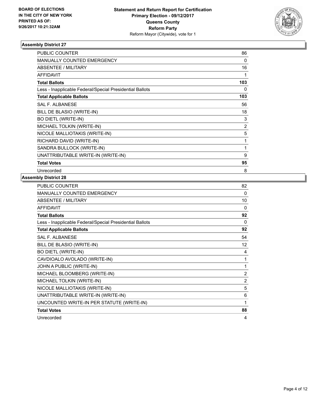

| <b>PUBLIC COUNTER</b>                                    | 86  |
|----------------------------------------------------------|-----|
| <b>MANUALLY COUNTED EMERGENCY</b>                        | 0   |
| ABSENTEE / MILITARY                                      | 16  |
| <b>AFFIDAVIT</b>                                         |     |
| <b>Total Ballots</b>                                     | 103 |
| Less - Inapplicable Federal/Special Presidential Ballots | 0   |
| <b>Total Applicable Ballots</b>                          | 103 |
| <b>SAL F. ALBANESE</b>                                   | 56  |
| BILL DE BLASIO (WRITE-IN)                                | 18  |
| <b>BO DIETL (WRITE-IN)</b>                               | 3   |
| MICHAEL TOLKIN (WRITE-IN)                                | 2   |
| NICOLE MALLIOTAKIS (WRITE-IN)                            | 5   |
| RICHARD DAVID (WRITE-IN)                                 | 1   |
| SANDRA BULLOCK (WRITE-IN)                                | 1   |
| UNATTRIBUTABLE WRITE-IN (WRITE-IN)                       | 9   |
| <b>Total Votes</b>                                       | 95  |
| Unrecorded                                               | 8   |

| PUBLIC COUNTER                                           | 82       |
|----------------------------------------------------------|----------|
| <b>MANUALLY COUNTED EMERGENCY</b>                        | 0        |
| <b>ABSENTEE / MILITARY</b>                               | 10       |
| <b>AFFIDAVIT</b>                                         | $\Omega$ |
| <b>Total Ballots</b>                                     | 92       |
| Less - Inapplicable Federal/Special Presidential Ballots | 0        |
| <b>Total Applicable Ballots</b>                          | 92       |
| <b>SAL F. ALBANESE</b>                                   | 54       |
| BILL DE BLASIO (WRITE-IN)                                | 12       |
| <b>BO DIETL (WRITE-IN)</b>                               | 4        |
| CAVDIOALO AVOLADO (WRITE-IN)                             | 1        |
| JOHN A PUBLIC (WRITE-IN)                                 | 1        |
| MICHAEL BLOOMBERG (WRITE-IN)                             | 2        |
| MICHAEL TOLKIN (WRITE-IN)                                | 2        |
| NICOLE MALLIOTAKIS (WRITE-IN)                            | 5        |
| UNATTRIBUTABLE WRITE-IN (WRITE-IN)                       | 6        |
| UNCOUNTED WRITE-IN PER STATUTE (WRITE-IN)                | 1        |
| <b>Total Votes</b>                                       | 88       |
| Unrecorded                                               | 4        |
|                                                          |          |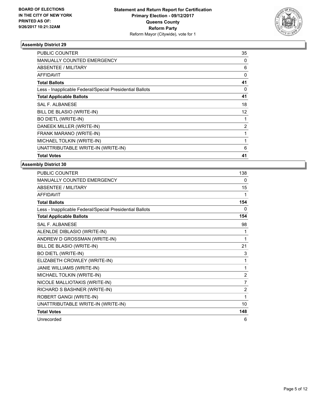

| <b>PUBLIC COUNTER</b>                                    | 35 |
|----------------------------------------------------------|----|
| <b>MANUALLY COUNTED EMERGENCY</b>                        | 0  |
| <b>ABSENTEE / MILITARY</b>                               | 6  |
| AFFIDAVIT                                                | 0  |
| <b>Total Ballots</b>                                     | 41 |
| Less - Inapplicable Federal/Special Presidential Ballots | 0  |
| <b>Total Applicable Ballots</b>                          | 41 |
| SAL F. ALBANESE                                          | 18 |
| BILL DE BLASIO (WRITE-IN)                                | 12 |
| <b>BO DIETL (WRITE-IN)</b>                               |    |
| DANEEK MILLER (WRITE-IN)                                 | 2  |
| FRANK MARANO (WRITE-IN)                                  | 1  |
| MICHAEL TOLKIN (WRITE-IN)                                |    |
| UNATTRIBUTABLE WRITE-IN (WRITE-IN)                       | 6  |
| <b>Total Votes</b>                                       | 41 |

| PUBLIC COUNTER                                           | 138            |
|----------------------------------------------------------|----------------|
| <b>MANUALLY COUNTED EMERGENCY</b>                        | 0              |
| <b>ABSENTEE / MILITARY</b>                               | 15             |
| <b>AFFIDAVIT</b>                                         | 1              |
| <b>Total Ballots</b>                                     | 154            |
| Less - Inapplicable Federal/Special Presidential Ballots | $\Omega$       |
| <b>Total Applicable Ballots</b>                          | 154            |
| <b>SAL F. ALBANESE</b>                                   | 98             |
| ALENLDE DIBLASIO (WRITE-IN)                              | 1              |
| ANDREW D GROSSMAN (WRITE-IN)                             | 1              |
| BILL DE BLASIO (WRITE-IN)                                | 21             |
| <b>BO DIETL (WRITE-IN)</b>                               | 3              |
| ELIZABETH CROWLEY (WRITE-IN)                             | 1              |
| JANIE WILLIAMS (WRITE-IN)                                | 1              |
| MICHAEL TOLKIN (WRITE-IN)                                | $\overline{2}$ |
| NICOLE MALLIOTAKIS (WRITE-IN)                            | $\overline{7}$ |
| RICHARD S BASHNER (WRITE-IN)                             | 2              |
| ROBERT GANGI (WRITE-IN)                                  | 1              |
| UNATTRIBUTABLE WRITE-IN (WRITE-IN)                       | 10             |
| <b>Total Votes</b>                                       | 148            |
| Unrecorded                                               | 6              |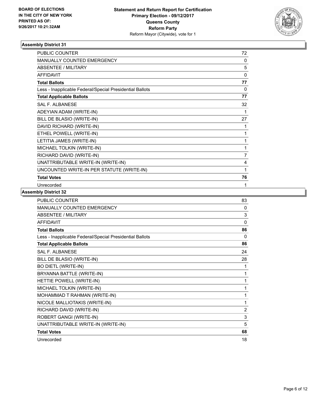

| <b>PUBLIC COUNTER</b>                                    | 72             |
|----------------------------------------------------------|----------------|
| <b>MANUALLY COUNTED EMERGENCY</b>                        | $\Omega$       |
| <b>ABSENTEE / MILITARY</b>                               | 5              |
| <b>AFFIDAVIT</b>                                         | $\Omega$       |
| <b>Total Ballots</b>                                     | 77             |
| Less - Inapplicable Federal/Special Presidential Ballots | 0              |
| <b>Total Applicable Ballots</b>                          | 77             |
| <b>SAL F. ALBANESE</b>                                   | 32             |
| ADEYIAN ADAM (WRITE-IN)                                  | 1              |
| BILL DE BLASIO (WRITE-IN)                                | 27             |
| DAVID RICHARD (WRITE-IN)                                 | 1              |
| ETHEL POWELL (WRITE-IN)                                  | 1              |
| LETITIA JAMES (WRITE-IN)                                 | 1              |
| MICHAEL TOLKIN (WRITE-IN)                                | 1              |
| RICHARD DAVID (WRITE-IN)                                 | $\overline{7}$ |
| UNATTRIBUTABLE WRITE-IN (WRITE-IN)                       | 4              |
| UNCOUNTED WRITE-IN PER STATUTE (WRITE-IN)                | 1              |
| <b>Total Votes</b>                                       | 76             |
| Unrecorded                                               | 1              |

| PUBLIC COUNTER                                           | 83             |
|----------------------------------------------------------|----------------|
| <b>MANUALLY COUNTED EMERGENCY</b>                        | 0              |
| <b>ABSENTEE / MILITARY</b>                               | 3              |
| <b>AFFIDAVIT</b>                                         | 0              |
| <b>Total Ballots</b>                                     | 86             |
| Less - Inapplicable Federal/Special Presidential Ballots | $\Omega$       |
| <b>Total Applicable Ballots</b>                          | 86             |
| <b>SAL F. ALBANESE</b>                                   | 24             |
| BILL DE BLASIO (WRITE-IN)                                | 28             |
| <b>BO DIETL (WRITE-IN)</b>                               | 1              |
| BRYANNA BATTLE (WRITE-IN)                                | 1              |
| HETTIE POWELL (WRITE-IN)                                 | 1              |
| MICHAEL TOLKIN (WRITE-IN)                                | 1              |
| MOHAMMAD T RAHMAN (WRITE-IN)                             | 1              |
| NICOLE MALLIOTAKIS (WRITE-IN)                            | 1              |
| RICHARD DAVID (WRITE-IN)                                 | $\overline{2}$ |
| ROBERT GANGI (WRITE-IN)                                  | 3              |
| UNATTRIBUTABLE WRITE-IN (WRITE-IN)                       | 5              |
| <b>Total Votes</b>                                       | 68             |
| Unrecorded                                               | 18             |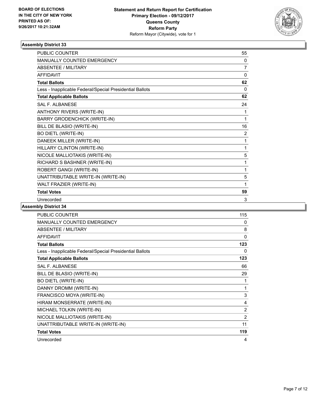

| <b>PUBLIC COUNTER</b>                                    | 55       |
|----------------------------------------------------------|----------|
| MANUALLY COUNTED EMERGENCY                               | 0        |
| <b>ABSENTEE / MILITARY</b>                               | 7        |
| <b>AFFIDAVIT</b>                                         | 0        |
| <b>Total Ballots</b>                                     | 62       |
| Less - Inapplicable Federal/Special Presidential Ballots | $\Omega$ |
| <b>Total Applicable Ballots</b>                          | 62       |
| <b>SAL F. ALBANESE</b>                                   | 24       |
| ANTHONY RIVERS (WRITE-IN)                                | 1        |
| <b>BARRY GRODENCHICK (WRITE-IN)</b>                      | 1        |
| BILL DE BLASIO (WRITE-IN)                                | 16       |
| <b>BO DIETL (WRITE-IN)</b>                               | 2        |
| DANEEK MILLER (WRITE-IN)                                 | 1        |
| HILLARY CLINTON (WRITE-IN)                               | 1        |
| NICOLE MALLIOTAKIS (WRITE-IN)                            | 5        |
| RICHARD S BASHNER (WRITE-IN)                             | 1        |
| ROBERT GANGI (WRITE-IN)                                  | 1        |
| UNATTRIBUTABLE WRITE-IN (WRITE-IN)                       | 5        |
| WALT FRAZIER (WRITE-IN)                                  | 1        |
| <b>Total Votes</b>                                       | 59       |
| Unrecorded                                               | 3        |

| <b>PUBLIC COUNTER</b>                                    | 115            |
|----------------------------------------------------------|----------------|
| <b>MANUALLY COUNTED EMERGENCY</b>                        | 0              |
| ABSENTEE / MILITARY                                      | 8              |
| <b>AFFIDAVIT</b>                                         | 0              |
| <b>Total Ballots</b>                                     | 123            |
| Less - Inapplicable Federal/Special Presidential Ballots | 0              |
| <b>Total Applicable Ballots</b>                          | 123            |
| <b>SAL F. ALBANESE</b>                                   | 66             |
| BILL DE BLASIO (WRITE-IN)                                | 29             |
| <b>BO DIETL (WRITE-IN)</b>                               | 1              |
| DANNY DROMM (WRITE-IN)                                   | 1              |
| FRANCISCO MOYA (WRITE-IN)                                | 3              |
| HIRAM MONSERRATE (WRITE-IN)                              | 4              |
| MICHAEL TOLKIN (WRITE-IN)                                | 2              |
| NICOLE MALLIOTAKIS (WRITE-IN)                            | $\overline{2}$ |
| UNATTRIBUTABLE WRITE-IN (WRITE-IN)                       | 11             |
| <b>Total Votes</b>                                       | 119            |
| Unrecorded                                               | 4              |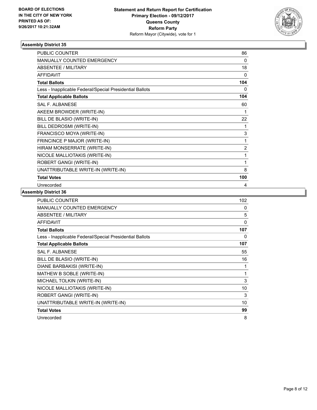

| <b>PUBLIC COUNTER</b>                                    | 86             |
|----------------------------------------------------------|----------------|
| MANUALLY COUNTED EMERGENCY                               | $\Omega$       |
| <b>ABSENTEE / MILITARY</b>                               | 18             |
| <b>AFFIDAVIT</b>                                         | $\Omega$       |
| <b>Total Ballots</b>                                     | 104            |
| Less - Inapplicable Federal/Special Presidential Ballots | 0              |
| <b>Total Applicable Ballots</b>                          | 104            |
| <b>SAL F. ALBANESE</b>                                   | 60             |
| AKEEM BROWDER (WRITE-IN)                                 | 1              |
| BILL DE BLASIO (WRITE-IN)                                | 22             |
| BILL DEDROSMI (WRITE-IN)                                 | 1              |
| FRANCISCO MOYA (WRITE-IN)                                | 3              |
| FRINCINCE P MAJOR (WRITE-IN)                             | 1              |
| HIRAM MONSERRATE (WRITE-IN)                              | $\overline{2}$ |
| NICOLE MALLIOTAKIS (WRITE-IN)                            | 1              |
| ROBERT GANGI (WRITE-IN)                                  | 1              |
| UNATTRIBUTABLE WRITE-IN (WRITE-IN)                       | 8              |
| <b>Total Votes</b>                                       | 100            |
| Unrecorded                                               | 4              |

| <b>PUBLIC COUNTER</b>                                    | 102 |
|----------------------------------------------------------|-----|
| <b>MANUALLY COUNTED EMERGENCY</b>                        | 0   |
| <b>ABSENTEE / MILITARY</b>                               | 5   |
| <b>AFFIDAVIT</b>                                         | 0   |
| <b>Total Ballots</b>                                     | 107 |
| Less - Inapplicable Federal/Special Presidential Ballots | 0   |
| <b>Total Applicable Ballots</b>                          | 107 |
| <b>SAL F. ALBANESE</b>                                   | 55  |
| BILL DE BLASIO (WRITE-IN)                                | 16  |
| DIANE BARBAKISI (WRITE-IN)                               | 1   |
| MATHEW B SOBLE (WRITE-IN)                                | 1   |
| MICHAEL TOLKIN (WRITE-IN)                                | 3   |
| NICOLE MALLIOTAKIS (WRITE-IN)                            | 10  |
| ROBERT GANGI (WRITE-IN)                                  | 3   |
| UNATTRIBUTABLE WRITE-IN (WRITE-IN)                       | 10  |
| <b>Total Votes</b>                                       | 99  |
| Unrecorded                                               | 8   |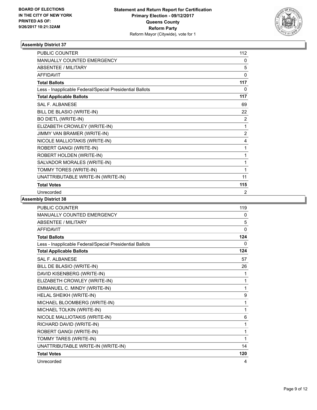

| <b>PUBLIC COUNTER</b>                                    | 112            |
|----------------------------------------------------------|----------------|
| <b>MANUALLY COUNTED EMERGENCY</b>                        | 0              |
| <b>ABSENTEE / MILITARY</b>                               | 5              |
| <b>AFFIDAVIT</b>                                         | $\mathbf{0}$   |
| <b>Total Ballots</b>                                     | 117            |
| Less - Inapplicable Federal/Special Presidential Ballots | 0              |
| <b>Total Applicable Ballots</b>                          | 117            |
| <b>SAL F. ALBANESE</b>                                   | 69             |
| BILL DE BLASIO (WRITE-IN)                                | 22             |
| <b>BO DIETL (WRITE-IN)</b>                               | 2              |
| ELIZABETH CROWLEY (WRITE-IN)                             | 1              |
| JIMMY VAN BRAMER (WRITE-IN)                              | $\overline{2}$ |
| NICOLE MALLIOTAKIS (WRITE-IN)                            | 4              |
| ROBERT GANGI (WRITE-IN)                                  | 1              |
| ROBERT HOLDEN (WRITE-IN)                                 | 1              |
| SALVADOR MORALES (WRITE-IN)                              | 1              |
| TOMMY TORES (WRITE-IN)                                   | 1              |
| UNATTRIBUTABLE WRITE-IN (WRITE-IN)                       | 11             |
| <b>Total Votes</b>                                       | 115            |
| Unrecorded                                               | 2              |

| <b>PUBLIC COUNTER</b>                                    | 119 |
|----------------------------------------------------------|-----|
| MANUALLY COUNTED EMERGENCY                               | 0   |
| ABSENTEE / MILITARY                                      | 5   |
| <b>AFFIDAVIT</b>                                         | 0   |
| <b>Total Ballots</b>                                     | 124 |
| Less - Inapplicable Federal/Special Presidential Ballots | 0   |
| <b>Total Applicable Ballots</b>                          | 124 |
| <b>SAL F. ALBANESE</b>                                   | 57  |
| BILL DE BLASIO (WRITE-IN)                                | 26  |
| DAVID KISENBERG (WRITE-IN)                               | 1   |
| ELIZABETH CROWLEY (WRITE-IN)                             | 1   |
| EMMANUEL C. MINDY (WRITE-IN)                             | 1   |
| HELAL SHEIKH (WRITE-IN)                                  | 9   |
| MICHAEL BLOOMBERG (WRITE-IN)                             | 1   |
| MICHAEL TOLKIN (WRITE-IN)                                | 1   |
| NICOLE MALLIOTAKIS (WRITE-IN)                            | 6   |
| RICHARD DAVID (WRITE-IN)                                 | 1   |
| ROBERT GANGI (WRITE-IN)                                  | 1   |
| TOMMY TARES (WRITE-IN)                                   | 1   |
| UNATTRIBUTABLE WRITE-IN (WRITE-IN)                       | 14  |
| <b>Total Votes</b>                                       | 120 |
| Unrecorded                                               | 4   |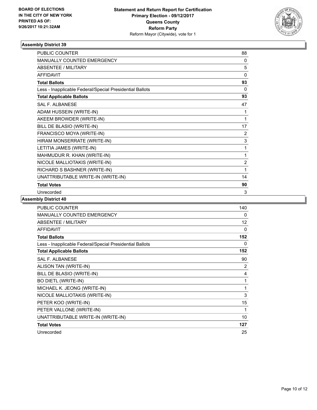

| <b>PUBLIC COUNTER</b>                                    | 88             |
|----------------------------------------------------------|----------------|
| MANUALLY COUNTED EMERGENCY                               | 0              |
| <b>ABSENTEE / MILITARY</b>                               | 5              |
| <b>AFFIDAVIT</b>                                         | $\mathbf{0}$   |
| <b>Total Ballots</b>                                     | 93             |
| Less - Inapplicable Federal/Special Presidential Ballots | 0              |
| <b>Total Applicable Ballots</b>                          | 93             |
| <b>SAL F. ALBANESE</b>                                   | 47             |
| ADAM HUSSEIN (WRITE-IN)                                  | 1              |
| AKEEM BROWDER (WRITE-IN)                                 | 1              |
| BILL DE BLASIO (WRITE-IN)                                | 17             |
| FRANCISCO MOYA (WRITE-IN)                                | 2              |
| HIRAM MONSERRATE (WRITE-IN)                              | 3              |
| LETITIA JAMES (WRITE-IN)                                 | 1              |
| MAHMUDUR R. KHAN (WRITE-IN)                              | 1              |
| NICOLE MALLIOTAKIS (WRITE-IN)                            | $\overline{2}$ |
| RICHARD S BASHNER (WRITE-IN)                             | 1              |
| UNATTRIBUTABLE WRITE-IN (WRITE-IN)                       | 14             |
| <b>Total Votes</b>                                       | 90             |
| Unrecorded                                               | 3              |

| <b>PUBLIC COUNTER</b>                                    | 140 |
|----------------------------------------------------------|-----|
| <b>MANUALLY COUNTED EMERGENCY</b>                        | 0   |
| ABSENTEE / MILITARY                                      | 12  |
| <b>AFFIDAVIT</b>                                         | 0   |
| <b>Total Ballots</b>                                     | 152 |
| Less - Inapplicable Federal/Special Presidential Ballots | 0   |
| <b>Total Applicable Ballots</b>                          | 152 |
| <b>SAL F. ALBANESE</b>                                   | 90  |
| ALISON TAN (WRITE-IN)                                    | 2   |
| BILL DE BLASIO (WRITE-IN)                                | 4   |
| <b>BO DIETL (WRITE-IN)</b>                               | 1   |
| MICHAEL K. JEONG (WRITE-IN)                              | 1   |
| NICOLE MALLIOTAKIS (WRITE-IN)                            | 3   |
| PETER KOO (WRITE-IN)                                     | 15  |
| PETER VALLONE (WRITE-IN)                                 | 1   |
| UNATTRIBUTABLE WRITE-IN (WRITE-IN)                       | 10  |
| <b>Total Votes</b>                                       | 127 |
| Unrecorded                                               | 25  |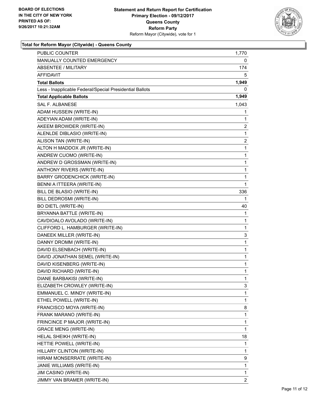

## **Total for Reform Mayor (Citywide) - Queens County**

| <b>PUBLIC COUNTER</b>                                    | 1,770        |
|----------------------------------------------------------|--------------|
| MANUALLY COUNTED EMERGENCY                               | 0            |
| <b>ABSENTEE / MILITARY</b>                               | 174          |
| AFFIDAVIT                                                | 5            |
| <b>Total Ballots</b>                                     | 1,949        |
| Less - Inapplicable Federal/Special Presidential Ballots | 0            |
| <b>Total Applicable Ballots</b>                          | 1,949        |
| SAL F. ALBANESE                                          | 1,043        |
| ADAM HUSSEIN (WRITE-IN)                                  | 1            |
| ADEYIAN ADAM (WRITE-IN)                                  | 1            |
| AKEEM BROWDER (WRITE-IN)                                 | 2            |
| ALENLDE DIBLASIO (WRITE-IN)                              | 1            |
| ALISON TAN (WRITE-IN)                                    | 2            |
| ALTON H MADDOX JR (WRITE-IN)                             | 1            |
| ANDREW CUOMO (WRITE-IN)                                  | 1            |
| ANDREW D GROSSMAN (WRITE-IN)                             | 1            |
| ANTHONY RIVERS (WRITE-IN)                                | 1            |
| <b>BARRY GRODENCHICK (WRITE-IN)</b>                      | 1            |
| BENNI A ITTEERA (WRITE-IN)                               | 1            |
| BILL DE BLASIO (WRITE-IN)                                | 336          |
| BILL DEDROSMI (WRITE-IN)                                 | 1            |
| <b>BO DIETL (WRITE-IN)</b>                               | 40           |
| BRYANNA BATTLE (WRITE-IN)                                | 1            |
| CAVDIOALO AVOLADO (WRITE-IN)                             | 1            |
| CLIFFORD L. HAMBURGER (WRITE-IN)                         | 1            |
| DANEEK MILLER (WRITE-IN)                                 | 3            |
| DANNY DROMM (WRITE-IN)                                   | 1            |
| DAVID ELSENBACH (WRITE-IN)                               | 1            |
| DAVID JONATHAN SEMEL (WRITE-IN)                          | 1            |
| DAVID KISENBERG (WRITE-IN)                               | 1            |
| DAVID RICHARD (WRITE-IN)                                 | 1            |
| <b>DIANE BARBAKISI (WRITE-IN)</b>                        | $\mathbf{1}$ |
| ELIZABETH CROWLEY (WRITE-IN)                             | 3            |
| EMMANUEL C. MINDY (WRITE-IN)                             | 1            |
| ETHEL POWELL (WRITE-IN)                                  | 1            |
| FRANCISCO MOYA (WRITE-IN)                                | 8            |
| FRANK MARANO (WRITE-IN)                                  | 1            |
| FRINCINCE P MAJOR (WRITE-IN)                             | 1            |
| <b>GRACE MENG (WRITE-IN)</b>                             | 1            |
| HELAL SHEIKH (WRITE-IN)                                  | 18           |
| HETTIE POWELL (WRITE-IN)                                 | 1            |
| HILLARY CLINTON (WRITE-IN)                               | 1            |
| HIRAM MONSERRATE (WRITE-IN)                              | 9            |
| JANIE WILLIAMS (WRITE-IN)                                | 1            |
| JIM CASINO (WRITE-IN)                                    | 1            |
| JIMMY VAN BRAMER (WRITE-IN)                              | 2            |